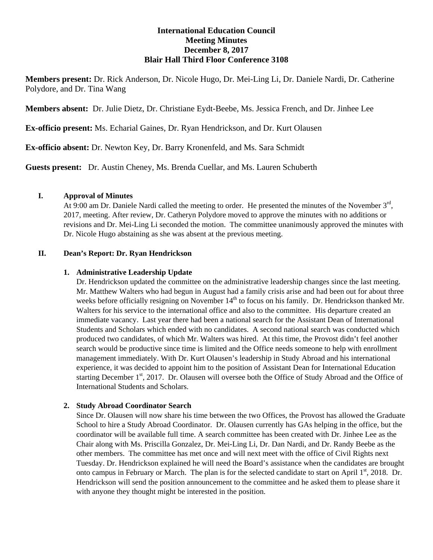# **International Education Council Meeting Minutes December 8, 2017 Blair Hall Third Floor Conference 3108**

**Members present:** Dr. Rick Anderson, Dr. Nicole Hugo, Dr. Mei-Ling Li, Dr. Daniele Nardi, Dr. Catherine Polydore, and Dr. Tina Wang

**Members absent:** Dr. Julie Dietz, Dr. Christiane Eydt-Beebe, Ms. Jessica French, and Dr. Jinhee Lee

**Ex-officio present:** Ms. Echarial Gaines, Dr. Ryan Hendrickson, and Dr. Kurt Olausen

**Ex-officio absent:** Dr. Newton Key, Dr. Barry Kronenfeld, and Ms. Sara Schmidt

**Guests present:** Dr. Austin Cheney, Ms. Brenda Cuellar, and Ms. Lauren Schuberth

## **I. Approval of Minutes**

At 9:00 am Dr. Daniele Nardi called the meeting to order. He presented the minutes of the November  $3<sup>rd</sup>$ , 2017, meeting. After review, Dr. Catheryn Polydore moved to approve the minutes with no additions or revisions and Dr. Mei-Ling Li seconded the motion. The committee unanimously approved the minutes with Dr. Nicole Hugo abstaining as she was absent at the previous meeting.

## **II. Dean's Report: Dr. Ryan Hendrickson**

## **1. Administrative Leadership Update**

Dr. Hendrickson updated the committee on the administrative leadership changes since the last meeting. Mr. Matthew Walters who had begun in August had a family crisis arise and had been out for about three weeks before officially resigning on November 14<sup>th</sup> to focus on his family. Dr. Hendrickson thanked Mr. Walters for his service to the international office and also to the committee. His departure created an immediate vacancy. Last year there had been a national search for the Assistant Dean of International Students and Scholars which ended with no candidates. A second national search was conducted which produced two candidates, of which Mr. Walters was hired. At this time, the Provost didn't feel another search would be productive since time is limited and the Office needs someone to help with enrollment management immediately. With Dr. Kurt Olausen's leadership in Study Abroad and his international experience, it was decided to appoint him to the position of Assistant Dean for International Education starting December 1<sup>st</sup>, 2017. Dr. Olausen will oversee both the Office of Study Abroad and the Office of International Students and Scholars.

## **2. Study Abroad Coordinator Search**

Since Dr. Olausen will now share his time between the two Offices, the Provost has allowed the Graduate School to hire a Study Abroad Coordinator. Dr. Olausen currently has GAs helping in the office, but the coordinator will be available full time. A search committee has been created with Dr. Jinhee Lee as the Chair along with Ms. Priscilla Gonzalez, Dr. Mei-Ling Li, Dr. Dan Nardi, and Dr. Randy Beebe as the other members. The committee has met once and will next meet with the office of Civil Rights next Tuesday. Dr. Hendrickson explained he will need the Board's assistance when the candidates are brought onto campus in February or March. The plan is for the selected candidate to start on April  $1<sup>st</sup>$ , 2018. Dr. Hendrickson will send the position announcement to the committee and he asked them to please share it with anyone they thought might be interested in the position.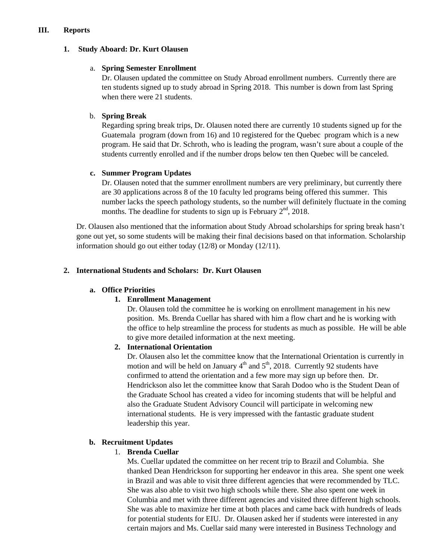#### **III. Reports**

## **1. Study Aboard: Dr. Kurt Olausen**

#### a. **Spring Semester Enrollment**

Dr. Olausen updated the committee on Study Abroad enrollment numbers. Currently there are ten students signed up to study abroad in Spring 2018. This number is down from last Spring when there were 21 students.

# b. **Spring Break**

Regarding spring break trips, Dr. Olausen noted there are currently 10 students signed up for the Guatemala program (down from 16) and 10 registered for the Quebec program which is a new program. He said that Dr. Schroth, who is leading the program, wasn't sure about a couple of the students currently enrolled and if the number drops below ten then Quebec will be canceled.

# **c. Summer Program Updates**

Dr. Olausen noted that the summer enrollment numbers are very preliminary, but currently there are 30 applications across 8 of the 10 faculty led programs being offered this summer. This number lacks the speech pathology students, so the number will definitely fluctuate in the coming months. The deadline for students to sign up is February  $2<sup>nd</sup>$ , 2018.

Dr. Olausen also mentioned that the information about Study Abroad scholarships for spring break hasn't gone out yet, so some students will be making their final decisions based on that information. Scholarship information should go out either today (12/8) or Monday (12/11).

# **2. International Students and Scholars: Dr. Kurt Olausen**

## **a. Office Priorities**

## **1. Enrollment Management**

Dr. Olausen told the committee he is working on enrollment management in his new position. Ms. Brenda Cuellar has shared with him a flow chart and he is working with the office to help streamline the process for students as much as possible. He will be able to give more detailed information at the next meeting.

## **2. International Orientation**

Dr. Olausen also let the committee know that the International Orientation is currently in motion and will be held on January  $4<sup>th</sup>$  and  $5<sup>th</sup>$ , 2018. Currently 92 students have confirmed to attend the orientation and a few more may sign up before then. Dr. Hendrickson also let the committee know that Sarah Dodoo who is the Student Dean of the Graduate School has created a video for incoming students that will be helpful and also the Graduate Student Advisory Council will participate in welcoming new international students. He is very impressed with the fantastic graduate student leadership this year.

## **b. Recruitment Updates**

## 1. **Brenda Cuellar**

Ms. Cuellar updated the committee on her recent trip to Brazil and Columbia. She thanked Dean Hendrickson for supporting her endeavor in this area. She spent one week in Brazil and was able to visit three different agencies that were recommended by TLC. She was also able to visit two high schools while there. She also spent one week in Columbia and met with three different agencies and visited three different high schools. She was able to maximize her time at both places and came back with hundreds of leads for potential students for EIU. Dr. Olausen asked her if students were interested in any certain majors and Ms. Cuellar said many were interested in Business Technology and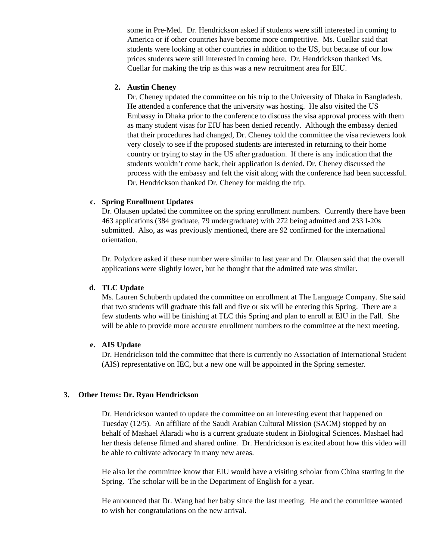some in Pre-Med. Dr. Hendrickson asked if students were still interested in coming to America or if other countries have become more competitive. Ms. Cuellar said that students were looking at other countries in addition to the US, but because of our low prices students were still interested in coming here. Dr. Hendrickson thanked Ms. Cuellar for making the trip as this was a new recruitment area for EIU.

#### **2. Austin Cheney**

Dr. Cheney updated the committee on his trip to the University of Dhaka in Bangladesh. He attended a conference that the university was hosting. He also visited the US Embassy in Dhaka prior to the conference to discuss the visa approval process with them as many student visas for EIU has been denied recently. Although the embassy denied that their procedures had changed, Dr. Cheney told the committee the visa reviewers look very closely to see if the proposed students are interested in returning to their home country or trying to stay in the US after graduation. If there is any indication that the students wouldn't come back, their application is denied. Dr. Cheney discussed the process with the embassy and felt the visit along with the conference had been successful. Dr. Hendrickson thanked Dr. Cheney for making the trip.

#### **c. Spring Enrollment Updates**

Dr. Olausen updated the committee on the spring enrollment numbers. Currently there have been 463 applications (384 graduate, 79 undergraduate) with 272 being admitted and 233 I-20s submitted. Also, as was previously mentioned, there are 92 confirmed for the international orientation.

Dr. Polydore asked if these number were similar to last year and Dr. Olausen said that the overall applications were slightly lower, but he thought that the admitted rate was similar.

#### **d. TLC Update**

Ms. Lauren Schuberth updated the committee on enrollment at The Language Company. She said that two students will graduate this fall and five or six will be entering this Spring. There are a few students who will be finishing at TLC this Spring and plan to enroll at EIU in the Fall. She will be able to provide more accurate enrollment numbers to the committee at the next meeting.

#### **e. AIS Update**

Dr. Hendrickson told the committee that there is currently no Association of International Student (AIS) representative on IEC, but a new one will be appointed in the Spring semester.

#### **3. Other Items: Dr. Ryan Hendrickson**

Dr. Hendrickson wanted to update the committee on an interesting event that happened on Tuesday (12/5). An affiliate of the Saudi Arabian Cultural Mission (SACM) stopped by on behalf of Mashael Alaradi who is a current graduate student in Biological Sciences. Mashael had her thesis defense filmed and shared online. Dr. Hendrickson is excited about how this video will be able to cultivate advocacy in many new areas.

He also let the committee know that EIU would have a visiting scholar from China starting in the Spring. The scholar will be in the Department of English for a year.

He announced that Dr. Wang had her baby since the last meeting. He and the committee wanted to wish her congratulations on the new arrival.